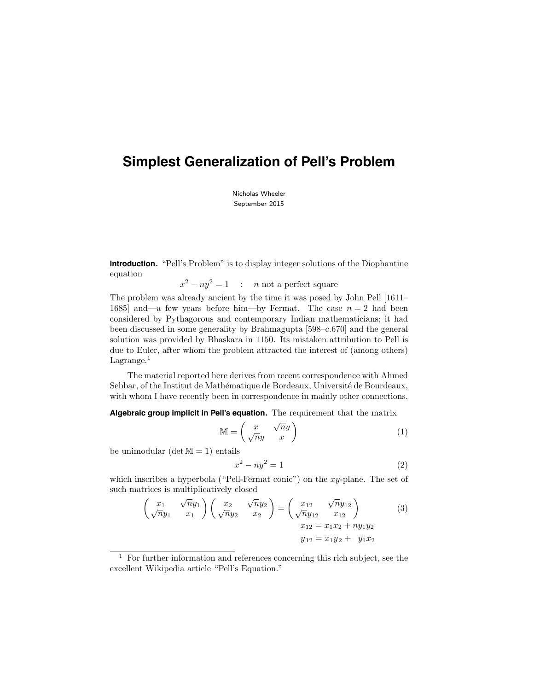# **Simplest Generalization of Pell's Problem**

Nicholas Wheeler September 2015

**Introduction.** "Pell's Problem" is to display integer solutions of the Diophantine equation

 $x^2 - ny^2 = 1$  : *n* not a perfect square

The problem was already ancient by the time it was posed by John Pell [1611– 1685] and—a few years before him—by Fermat. The case  $n = 2$  had been considered by Pythagorous and contemporary Indian mathematicians; it had been discussed in some generality by Brahmagupta [598–c.670] and the general solution was provided by Bhaskara in 1150. Its mistaken attribution to Pell is due to Euler, after whom the problem attracted the interest of (among others) Lagrange. $<sup>1</sup>$ </sup>

The material reported here derives from recent correspondence with Ahmed Sebbar, of the Institut de Mathématique de Bordeaux, Université de Bourdeaux, with whom I have recently been in correspondence in mainly other connections.

**Algebraic group implicit in Pell's equation.** The requirement that the matrix

$$
\mathbb{M} = \begin{pmatrix} x & \sqrt{n}y \\ \sqrt{n}y & x \end{pmatrix} \tag{1}
$$

be unimodular  $(\det M = 1)$  entails

$$
x^2 - ny^2 = 1\tag{2}
$$

which inscribes a hyperbola ("Pell-Fermat conic") on the xy-plane. The set of such matrices is multiplicatively closed

$$
\begin{pmatrix} x_1 & \sqrt{n}y_1 \\ \sqrt{n}y_1 & x_1 \end{pmatrix} \begin{pmatrix} x_2 & \sqrt{n}y_2 \\ \sqrt{n}y_2 & x_2 \end{pmatrix} = \begin{pmatrix} x_{12} & \sqrt{n}y_{12} \\ \sqrt{n}y_{12} & x_{12} \\ x_{12} = x_1x_2 + ny_1y_2 \end{pmatrix}
$$
 (3)

$$
y_{12} = x_1 y_2 + y_1 x_2
$$

 $1$  For further information and references concerning this rich subject, see the excellent Wikipedia article "Pell's Equation."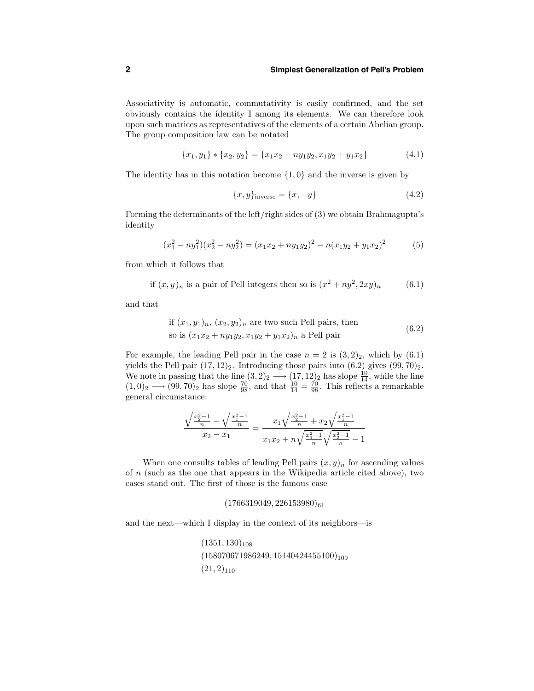#### **2 Simplest Generalization of Pell's Problem**

Associativity is automatic, commutativity is easily confirmed, and the set obviously contains the identity I among its elements. We can therefore look upon such matrices as representatives of the elements of a certain Abelian group. The group composition law can be notated

$$
\{x_1, y_1\} * \{x_2, y_2\} = \{x_1x_2 + ny_1y_2, x_1y_2 + y_1x_2\}
$$
\n(4.1)

The identity has in this notation become  $\{1, 0\}$  and the inverse is given by

$$
\{x, y\}_{\text{inverse}} = \{x, -y\} \tag{4.2}
$$

Forming the determinants of the left/right sides of (3) we obtain Brahmagupta's identity

$$
(x_1^2 - ny_1^2)(x_2^2 - ny_2^2) = (x_1x_2 + ny_1y_2)^2 - n(x_1y_2 + y_1x_2)^2
$$
 (5)

from which it follows that

if 
$$
(x, y)_n
$$
 is a pair of Pell integers then so is  $(x^2 + ny^2, 2xy)_n$  (6.1)

and that

if 
$$
(x_1, y_1)_n
$$
,  $(x_2, y_2)_n$  are two such Pell pairs, then  
so is  $(x_1x_2 + n y_1y_2, x_1y_2 + y_1x_2)_n$  a Pell pair  $(6.2)$ 

For example, the leading Pell pair in the case  $n = 2$  is  $(3, 2)_2$ , which by  $(6.1)$ yields the Pell pair  $(17, 12)_2$ . Introducing those pairs into  $(6.2)$  gives  $(99, 70)_2$ . We note in passing that the line  $(3,2)_2 \longrightarrow (17,12)_2$  has slope  $\frac{10}{14}$ , while the line  $(1,0)_2 \longrightarrow (99,70)_2$  has slope  $\frac{70}{98}$ , and that  $\frac{10}{14} = \frac{70}{98}$ . This reflects a remarkable general circumstance:

$$
\frac{\sqrt{\frac{x_2^2-1}{n}}-\sqrt{\frac{x_1^2-1}{n}}}{x_2-x_1} = \frac{x_1\sqrt{\frac{x_2^2-1}{n}}+x_2\sqrt{\frac{x_1^2-1}{n}}}{x_1x_2+n\sqrt{\frac{x_1^2-1}{n}}\sqrt{\frac{x_2^2-1}{n}}-1}
$$

When one consults tables of leading Pell pairs  $(x, y)<sub>n</sub>$  for ascending values of  $n$  (such as the one that appears in the Wikipedia article cited above), two cases stand out. The first of those is the famous case

## $(1766319049, 226153980)_{61}$

and the next—which I display in the context of its neighbors—is

 $(1351, 130)_{108}$  $(158070671986249, 15140424455100)_{109}$  $(21, 2)_{110}$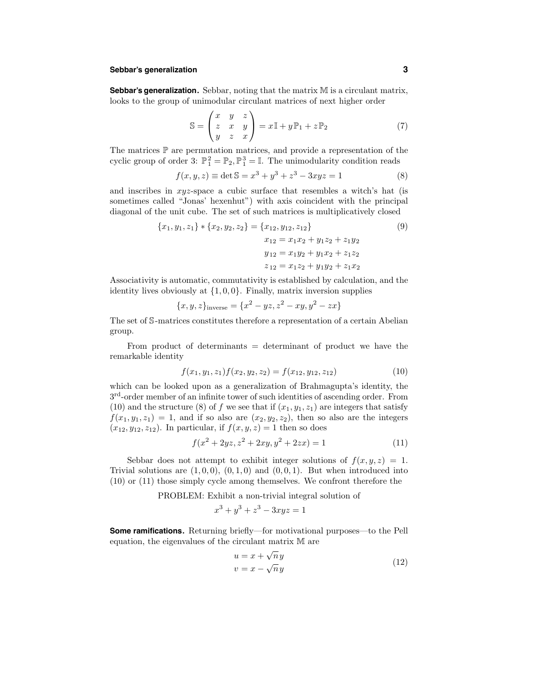## **Sebbar's generalization 3**

**Sebbar's generalization.** Sebbar, noting that the matrix M is a circulant matrix, looks to the group of unimodular circulant matrices of next higher order

$$
\mathbb{S} = \begin{pmatrix} x & y & z \\ z & x & y \\ y & z & x \end{pmatrix} = x \mathbb{I} + y \mathbb{P}_1 + z \mathbb{P}_2 \tag{7}
$$

The matrices  $\mathbb P$  are permutation matrices, and provide a representation of the cyclic group of order 3:  $\mathbb{P}^2_1 = \mathbb{P}_2, \mathbb{P}^3_1 = \mathbb{I}$ . The unimodularity condition reads

$$
f(x, y, z) \equiv \det \mathbb{S} = x^3 + y^3 + z^3 - 3xyz = 1
$$
 (8)

and inscribes in  $xyz$ -space a cubic surface that resembles a witch's hat (is sometimes called "Jonas' hexenhut") with axis coincident with the principal diagonal of the unit cube. The set of such matrices is multiplicatively closed

$$
\{x_1, y_1, z_1\} * \{x_2, y_2, z_2\} = \{x_{12}, y_{12}, z_{12}\}\
$$
  
\n
$$
x_{12} = x_1x_2 + y_1z_2 + z_1y_2
$$
  
\n
$$
y_{12} = x_1y_2 + y_1x_2 + z_1z_2
$$
  
\n
$$
z_{12} = x_1z_2 + y_1y_2 + z_1x_2
$$
  
\n(9)

Associativity is automatic, commutativity is established by calculation, and the identity lives obviously at  $\{1, 0, 0\}$ . Finally, matrix inversion supplies

$$
\{x, y, z\}_{\text{inverse}} = \{x^2 - yz, z^2 - xy, y^2 - zx\}
$$

The set of S-matrices constitutes therefore a representation of a certain Abelian group.

From product of determinants = determinant of product we have the remarkable identity

$$
f(x_1, y_1, z_1) f(x_2, y_2, z_2) = f(x_{12}, y_{12}, z_{12})
$$
\n(10)

which can be looked upon as a generalization of Brahmagupta's identity, the  $3<sup>rd</sup>$ -order member of an infinite tower of such identities of ascending order. From (10) and the structure (8) of f we see that if  $(x_1, y_1, z_1)$  are integers that satisfy  $f(x_1, y_1, z_1) = 1$ , and if so also are  $(x_2, y_2, z_2)$ , then so also are the integers  $(x_{12}, y_{12}, z_{12})$ . In particular, if  $f(x, y, z) = 1$  then so does

$$
f(x^{2} + 2yz, z^{2} + 2xy, y^{2} + 2zx) = 1
$$
\n(11)

Sebbar does not attempt to exhibit integer solutions of  $f(x, y, z) = 1$ . Trivial solutions are  $(1, 0, 0), (0, 1, 0)$  and  $(0, 0, 1)$ . But when introduced into (10) or (11) those simply cycle among themselves. We confront therefore the

PROBLEM: Exhibit a non-trivial integral solution of

$$
x^3 + y^3 + z^3 - 3xyz = 1
$$

**Some ramifications.** Returning briefly—for motivational purposes—to the Pell equation, the eigenvalues of the circulant matrix M are

$$
u = x + \sqrt{n}y
$$
  
\n
$$
v = x - \sqrt{n}y
$$
\n(12)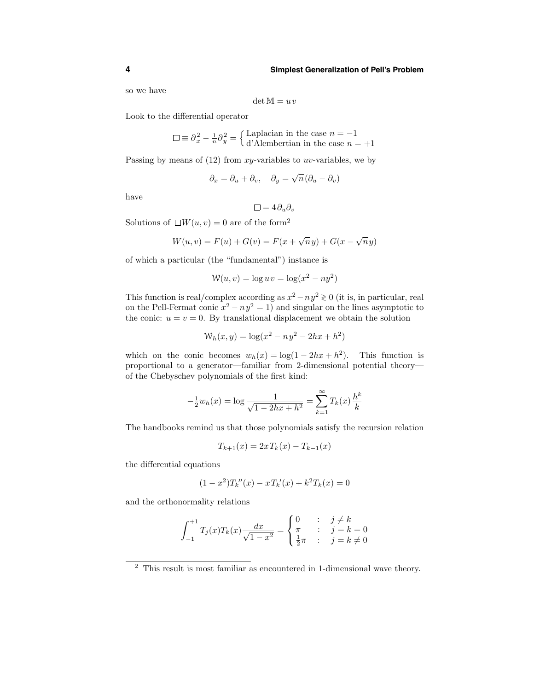#### **4 Simplest Generalization of Pell's Problem**

so we have

$$
\det \mathbb{M} = uv
$$

Look to the differential operator

$$
\Box \equiv \partial_x^2 - \frac{1}{n} \partial_y^2 = \begin{cases} \text{Laplacian in the case } n = -1\\ \text{d'Alembertian in the case } n = +1 \end{cases}
$$

Passing by means of  $(12)$  from xy-variables to uv-variables, we by

$$
\partial_x = \partial_u + \partial_v, \quad \partial_y = \sqrt{n} (\partial_u - \partial_v)
$$

have

$$
\Box = 4 \partial_u \partial_v
$$

Solutions of  $\Box W(u, v) = 0$  are of the form<sup>2</sup>

$$
W(u, v) = F(u) + G(v) = F(x + \sqrt{n}y) + G(x - \sqrt{n}y)
$$

of which a particular (the "fundamental") instance is

$$
W(u, v) = \log u v = \log(x^2 - n y^2)
$$

This function is real/complex according as  $x^2 - ny^2 \ge 0$  (it is, in particular, real on the Pell-Fermat conic  $x^2 - ny^2 = 1$  and singular on the lines asymptotic to the conic:  $u = v = 0$ . By translational displacement we obtain the solution

$$
W_h(x, y) = \log(x^2 - ny^2 - 2hx + h^2)
$$

which on the conic becomes  $w_h(x) = \log(1 - 2hx + h^2)$ . This function is proportional to a generator—familiar from 2-dimensional potential theory of the Chebyschev polynomials of the first kind:

$$
-\frac{1}{2}w_h(x) = \log \frac{1}{\sqrt{1 - 2hx + h^2}} = \sum_{k=1}^{\infty} T_k(x) \frac{h^k}{k}
$$

The handbooks remind us that those polynomials satisfy the recursion relation

$$
T_{k+1}(x) = 2x T_k(x) - T_{k-1}(x)
$$

the differential equations

$$
(1 - x2)Tk''(x) - xTk'(x) + k2Tk(x) = 0
$$

and the orthonormality relations

$$
\int_{-1}^{+1} T_j(x) T_k(x) \frac{dx}{\sqrt{1 - x^2}} = \begin{cases} 0 & \text{: } j \neq k \\ \pi & \text{: } j = k = 0 \\ \frac{1}{2}\pi & \text{: } j = k \neq 0 \end{cases}
$$

<sup>2</sup> This result is most familiar as encountered in 1-dimensional wave theory.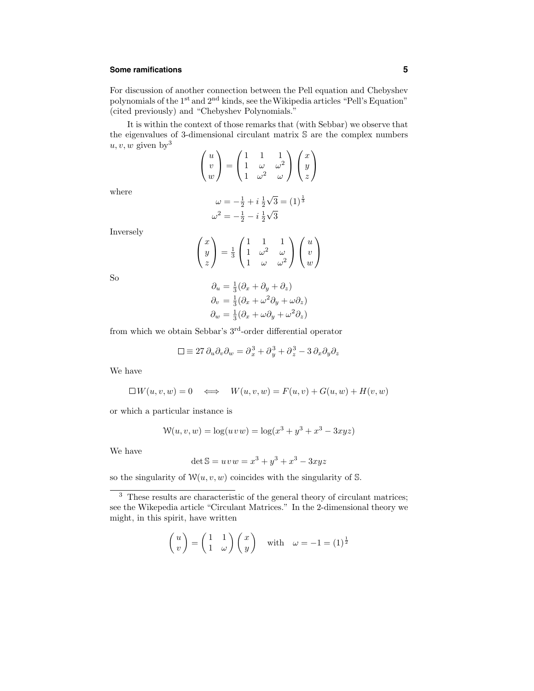## **Some ramifications 5**

For discussion of another connection between the Pell equation and Chebyshev polynomials of the 1<sup>st</sup> and 2<sup>nd</sup> kinds, see the Wikipedia articles "Pell's Equation" (cited previously) and "Chebyshev Polynomials."

It is within the context of those remarks that (with Sebbar) we observe that the eigenvalues of 3-dimensional circulant matrix S are the complex numbers u, v, w given by  $3$ 

|  |  | $\left(\begin{array}{c} u\\v\\w \end{array}\right)=\left(\begin{array}{ccc} 1&1&1\\1&\omega&\omega^2\\1&\omega^2&\omega \end{array}\right)\left(\begin{array}{c} x\\y\\z \end{array}\right)$ |
|--|--|----------------------------------------------------------------------------------------------------------------------------------------------------------------------------------------------|
|  |  |                                                                                                                                                                                              |
|  |  |                                                                                                                                                                                              |

where

$$
\omega = -\frac{1}{2} + i\frac{1}{2}\sqrt{3} = (1)^{\frac{1}{3}}
$$

$$
\omega^2 = -\frac{1}{2} - i\frac{1}{2}\sqrt{3}
$$

Inversely

$$
\begin{pmatrix} x \\ y \\ z \end{pmatrix} = \frac{1}{3} \begin{pmatrix} 1 & 1 & 1 \\ 1 & \omega^2 & \omega \\ 1 & \omega & \omega^2 \end{pmatrix} \begin{pmatrix} u \\ v \\ w \end{pmatrix}
$$

So

$$
\partial_u = \frac{1}{3} (\partial_x + \partial_y + \partial_z)
$$
  
\n
$$
\partial_v = \frac{1}{3} (\partial_x + \omega^2 \partial_y + \omega \partial_z)
$$
  
\n
$$
\partial_w = \frac{1}{3} (\partial_x + \omega \partial_y + \omega^2 \partial_z)
$$

from which we obtain Sebbar's 3rd-order differential operator

$$
\Box \equiv 27 \, \partial_u \partial_v \partial_w = \partial_x^3 + \partial_y^3 + \partial_z^3 - 3 \, \partial_x \partial_y \partial_z
$$

We have

$$
\Box W(u,v,w) = 0 \iff W(u,v,w) = F(u,v) + G(u,w) + H(v,w)
$$

or which a particular instance is

$$
W(u, v, w) = \log(u v w) = \log(x^{3} + y^{3} + x^{3} - 3xyz)
$$

We have

$$
\det \mathbb{S} = uvw = x^3 + y^3 + x^3 - 3xyz
$$

so the singularity of  $W(u, v, w)$  coincides with the singularity of S.

$$
\begin{pmatrix} u \\ v \end{pmatrix} = \begin{pmatrix} 1 & 1 \\ 1 & \omega \end{pmatrix} \begin{pmatrix} x \\ y \end{pmatrix} \quad \text{with} \quad \omega = -1 = (1)^{\frac{1}{2}}
$$

<sup>&</sup>lt;sup>3</sup> These results are characteristic of the general theory of circulant matrices; see the Wikepedia article "Circulant Matrices." In the 2-dimensional theory we might, in this spirit, have written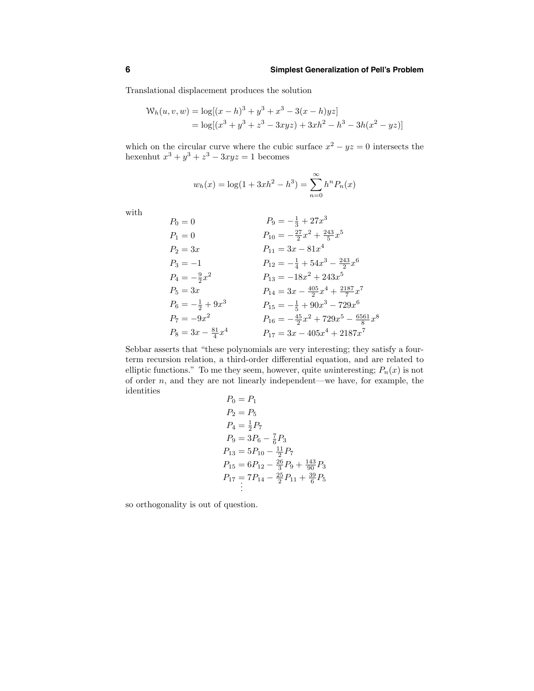Translational displacement produces the solution

$$
W_h(u, v, w) = \log[(x - h)^3 + y^3 + x^3 - 3(x - h)yz]
$$
  
=  $\log[(x^3 + y^3 + z^3 - 3xyz) + 3xh^2 - h^3 - 3h(x^2 - yz)]$ 

which on the circular curve where the cubic surface  $x^2 - yz = 0$  intersects the hexenhut  $x^3 + y^3 + z^3 - 3xyz = 1$  becomes

$$
w_h(x) = \log(1 + 3xh^2 - h^3) = \sum_{n=0}^{\infty} h^n P_n(x)
$$

with

$$
P_0 = 0
$$
  
\n
$$
P_1 = 0
$$
  
\n
$$
P_2 = 3x
$$
  
\n
$$
P_3 = -1
$$
  
\n
$$
P_4 = -\frac{9}{2}x^2
$$
  
\n
$$
P_5 = 3x
$$
  
\n
$$
P_6 = -\frac{1}{2} + 9x^3
$$
  
\n
$$
P_7 = -9x^2
$$
  
\n
$$
P_8 = 3x - \frac{81}{4}x^4
$$
  
\n
$$
P_9 = -\frac{1}{3} + 27x^3
$$
  
\n
$$
P_{10} = -\frac{1}{2} + 27x^3
$$
  
\n
$$
P_{10} = -\frac{1}{2}x^2 + \frac{243}{5}x^5
$$
  
\n
$$
P_{11} = 3x - 81x^4
$$
  
\n
$$
P_{12} = -\frac{1}{4} + 54x^3 - \frac{243}{2}x^6
$$
  
\n
$$
P_{13} = -18x^2 + 243x^5
$$
  
\n
$$
P_{14} = 3x - \frac{405}{2}x^4 + \frac{2187}{7}x^7
$$
  
\n
$$
P_6 = -\frac{1}{2} + 9x^3
$$
  
\n
$$
P_{16} = -\frac{45}{2}x^2 + 729x^5 - \frac{6561}{8}x^8
$$
  
\n
$$
P_{17} = 3x - 405x^4 + 2187x^7
$$

Sebbar asserts that "these polynomials are very interesting; they satisfy a fourterm recursion relation, a third-order differential equation, and are related to elliptic functions." To me they seem, however, quite uninteresting;  $P_n(x)$  is not of order  $n$ , and they are not linearly independent—we have, for example, the identities

$$
P_0 = P_1
$$
  
\n
$$
P_2 = P_5
$$
  
\n
$$
P_4 = \frac{1}{2}P_7
$$
  
\n
$$
P_9 = 3P_6 - \frac{7}{6}P_3
$$
  
\n
$$
P_{13} = 5P_{10} - \frac{11}{2}P_7
$$
  
\n
$$
P_{15} = 6P_{12} - \frac{26}{3}P_9 + \frac{143}{90}P_3
$$
  
\n
$$
P_{17} = 7P_{14} - \frac{25}{2}P_{11} + \frac{39}{6}P_5
$$
  
\n...

so orthogonality is out of question.